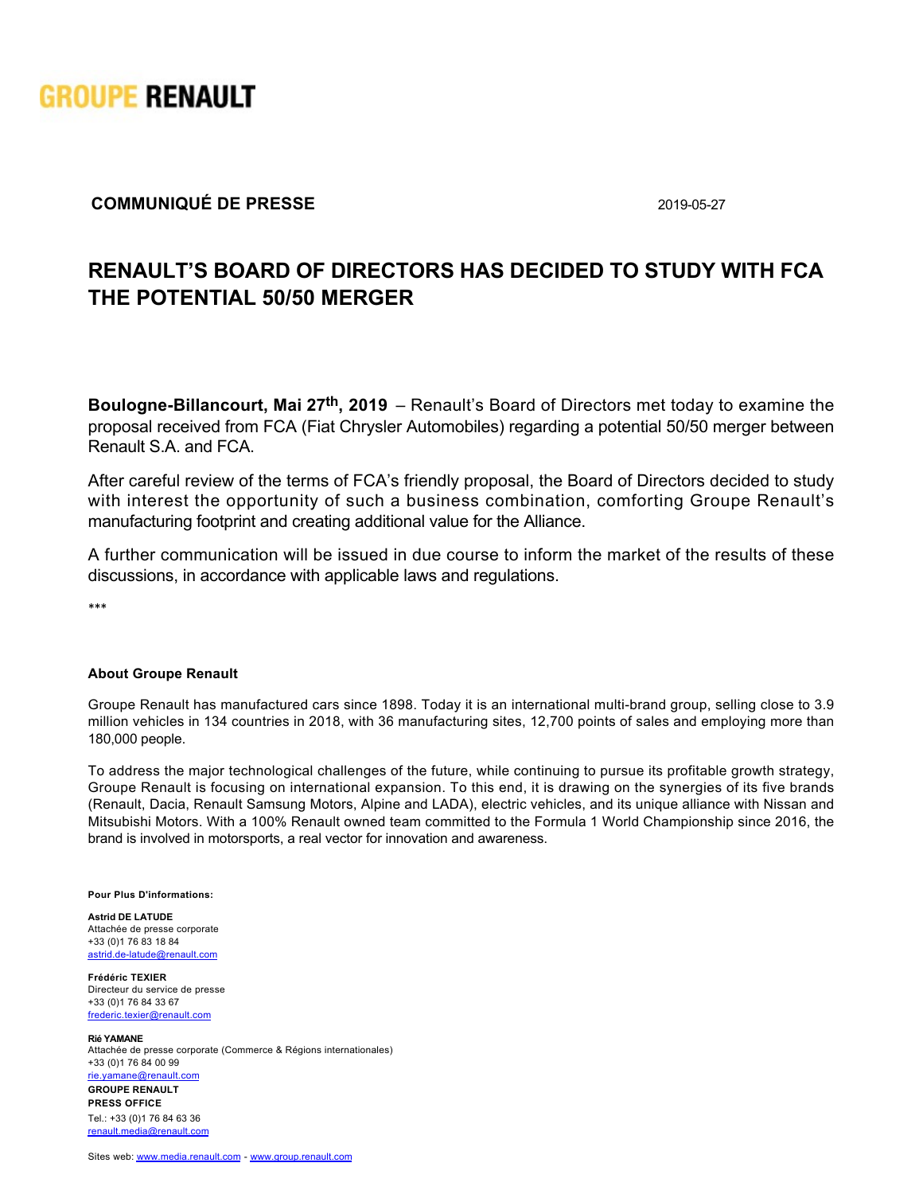

## **COMMUNIQUÉ DE PRESSE** 2019-05-27

## **RENAULT'S BOARD OF DIRECTORS HAS DECIDED TO STUDY WITH FCA THE POTENTIAL 50/50 MERGER**

**Boulogne-Billancourt, Mai 27<sup>th</sup>, 2019** – Renault's Board of Directors met today to examine the proposal received from FCA (Fiat Chrysler Automobiles) regarding a potential 50/50 merger between Renault S.A. and FCA.

After careful review of the terms of FCA's friendly proposal, the Board of Directors decided to study with interest the opportunity of such a business combination, comforting Groupe Renault's manufacturing footprint and creating additional value for the Alliance.

A further communication will be issued in due course to inform the market of the results of these discussions, in accordance with applicable laws and regulations.

\*\*\*

## **About Groupe Renault**

Groupe Renault has manufactured cars since 1898. Today it is an international multi-brand group, selling close to 3.9 million vehicles in 134 countries in 2018, with 36 manufacturing sites, 12,700 points of sales and employing more than 180,000 people.

To address the major technological challenges of the future, while continuing to pursue its profitable growth strategy, Groupe Renault is focusing on international expansion. To this end, it is drawing on the synergies of its five brands (Renault, Dacia, Renault Samsung Motors, Alpine and LADA), electric vehicles, and its unique alliance with Nissan and Mitsubishi Motors. With a 100% Renault owned team committed to the Formula 1 World Championship since 2016, the brand is involved in motorsports, a real vector for innovation and awareness.

**Pour Plus D'informations:**

**Astrid DE LATUDE** Attachée de presse corporate +33 (0)1 76 83 18 84 astrid.de-latude@renault.com

**Frédéric TEXIER** Directeur du service de presse +33 (0)1 76 84 33 67 [frederic.texier@renault.com](mailto: frederic.texier@renault.com)

**Rié YAMANE** Attachée de presse corporate (Commerce & Régions internationales) +33 (0)1 76 84 00 99 [rie.yamane@renault.com](mailto: rie.yamane@renault.com)

**GROUPE RENAULT PRESS OFFICE**  Tel.: +33 (0)1 76 84 63 36 [renault.media@renault.com](mailto: renault.media@renault.com)

Sites web: [www.media.renault.com](https://media.group.renault.com/cms/global) - [www.group.renault.com](http://group.renault.com/en/)